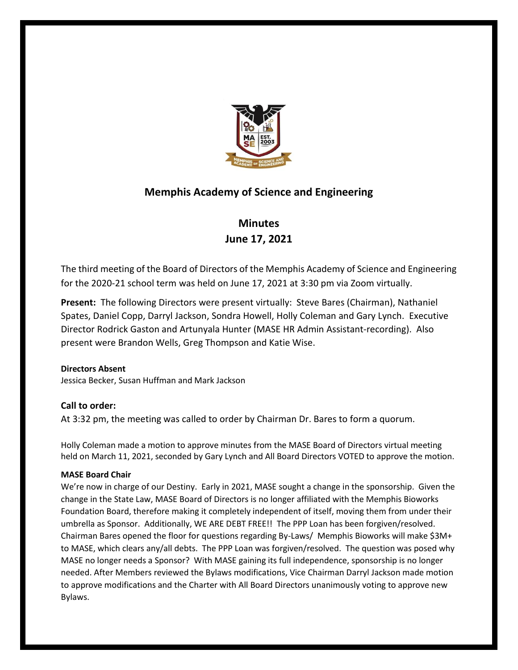

# **Memphis Academy of Science and Engineering**

# **Minutes June 17, 2021**

The third meeting of the Board of Directors of the Memphis Academy of Science and Engineering for the 2020-21 school term was held on June 17, 2021 at 3:30 pm via Zoom virtually.

**Present:** The following Directors were present virtually: Steve Bares (Chairman), Nathaniel Spates, Daniel Copp, Darryl Jackson, Sondra Howell, Holly Coleman and Gary Lynch. Executive Director Rodrick Gaston and Artunyala Hunter (MASE HR Admin Assistant-recording). Also present were Brandon Wells, Greg Thompson and Katie Wise.

# **Directors Absent**

Jessica Becker, Susan Huffman and Mark Jackson

# **Call to order:**

At 3:32 pm, the meeting was called to order by Chairman Dr. Bares to form a quorum.

Holly Coleman made a motion to approve minutes from the MASE Board of Directors virtual meeting held on March 11, 2021, seconded by Gary Lynch and All Board Directors VOTED to approve the motion.

## **MASE Board Chair**

We're now in charge of our Destiny. Early in 2021, MASE sought a change in the sponsorship. Given the change in the State Law, MASE Board of Directors is no longer affiliated with the Memphis Bioworks Foundation Board, therefore making it completely independent of itself, moving them from under their umbrella as Sponsor. Additionally, WE ARE DEBT FREE!! The PPP Loan has been forgiven/resolved. Chairman Bares opened the floor for questions regarding By-Laws/ Memphis Bioworks will make \$3M+ to MASE, which clears any/all debts. The PPP Loan was forgiven/resolved. The question was posed why MASE no longer needs a Sponsor? With MASE gaining its full independence, sponsorship is no longer needed. After Members reviewed the Bylaws modifications, Vice Chairman Darryl Jackson made motion to approve modifications and the Charter with All Board Directors unanimously voting to approve new Bylaws.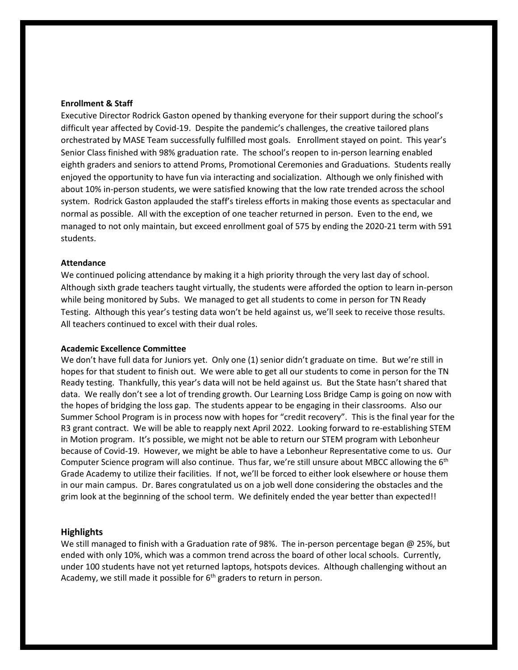#### **Enrollment & Staff**

Executive Director Rodrick Gaston opened by thanking everyone for their support during the school's difficult year affected by Covid-19. Despite the pandemic's challenges, the creative tailored plans orchestrated by MASE Team successfully fulfilled most goals. Enrollment stayed on point. This year's Senior Class finished with 98% graduation rate. The school's reopen to in-person learning enabled eighth graders and seniors to attend Proms, Promotional Ceremonies and Graduations. Students really enjoyed the opportunity to have fun via interacting and socialization. Although we only finished with about 10% in-person students, we were satisfied knowing that the low rate trended across the school system. Rodrick Gaston applauded the staff's tireless efforts in making those events as spectacular and normal as possible. All with the exception of one teacher returned in person. Even to the end, we managed to not only maintain, but exceed enrollment goal of 575 by ending the 2020-21 term with 591 students.

#### **Attendance**

We continued policing attendance by making it a high priority through the very last day of school. Although sixth grade teachers taught virtually, the students were afforded the option to learn in-person while being monitored by Subs. We managed to get all students to come in person for TN Ready Testing. Although this year's testing data won't be held against us, we'll seek to receive those results. All teachers continued to excel with their dual roles.

#### **Academic Excellence Committee**

We don't have full data for Juniors yet. Only one (1) senior didn't graduate on time. But we're still in hopes for that student to finish out. We were able to get all our students to come in person for the TN Ready testing. Thankfully, this year's data will not be held against us. But the State hasn't shared that data. We really don't see a lot of trending growth. Our Learning Loss Bridge Camp is going on now with the hopes of bridging the loss gap. The students appear to be engaging in their classrooms. Also our Summer School Program is in process now with hopes for "credit recovery". This is the final year for the R3 grant contract. We will be able to reapply next April 2022. Looking forward to re-establishing STEM in Motion program. It's possible, we might not be able to return our STEM program with Lebonheur because of Covid-19. However, we might be able to have a Lebonheur Representative come to us. Our Computer Science program will also continue. Thus far, we're still unsure about MBCC allowing the  $6<sup>th</sup>$ Grade Academy to utilize their facilities. If not, we'll be forced to either look elsewhere or house them in our main campus. Dr. Bares congratulated us on a job well done considering the obstacles and the grim look at the beginning of the school term. We definitely ended the year better than expected!!

#### **Highlights**

We still managed to finish with a Graduation rate of 98%. The in-person percentage began @ 25%, but ended with only 10%, which was a common trend across the board of other local schools. Currently, under 100 students have not yet returned laptops, hotspots devices. Although challenging without an Academy, we still made it possible for  $6<sup>th</sup>$  graders to return in person.